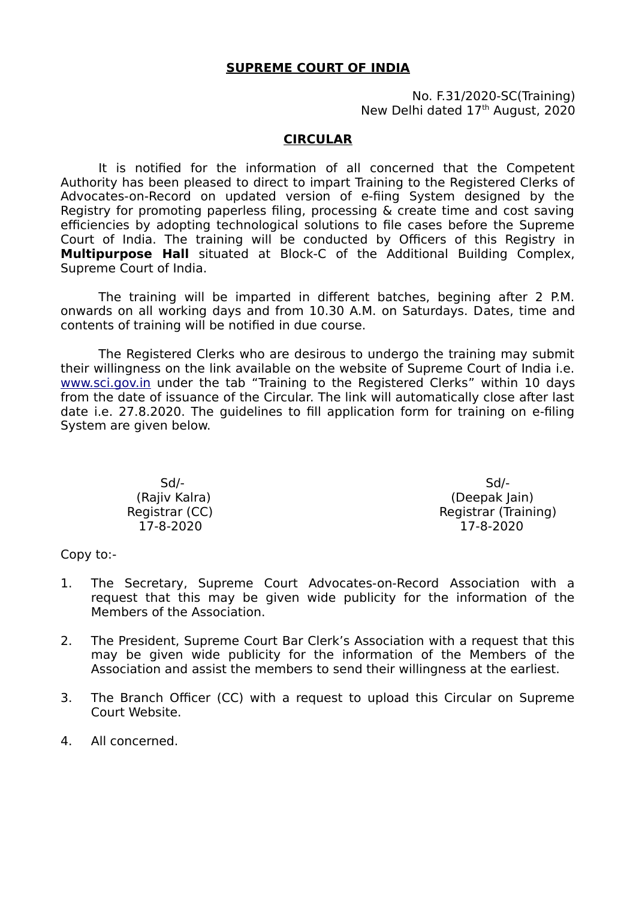## **SUPREME COURT OF INDIA**

No. F.31/2020-SC(Training) New Delhi dated 17<sup>th</sup> August, 2020

## **CIRCULAR**

It is notified for the information of all concerned that the Competent Authority has been pleased to direct to impart Training to the Registered Clerks of Advocates-on-Record on updated version of e-fiing System designed by the Registry for promoting paperless filing, processing & create time and cost saving efficiencies by adopting technological solutions to file cases before the Supreme Court of India. The training will be conducted by Officers of this Registry in **Multipurpose Hall** situated at Block-C of the Additional Building Complex, Supreme Court of India.

The training will be imparted in different batches, begining after 2 P.M. onwards on all working days and from 10.30 A.M. on Saturdays. Dates, time and contents of training will be notified in due course.

The Registered Clerks who are desirous to undergo the training may submit their willingness on the link available on the website of Supreme Court of India i.e. [www.sci.gov.in](http://www.sci.gov.in/) under the tab "Training to the Registered Clerks" within 10 days from the date of issuance of the Circular. The link will automatically close after last date i.e. 27.8.2020. The guidelines to fill application form for training on e-filing System are given below.

 Sd/- Sd/- (Rajiv Kalra) (Deepak Jain) Registrar (CC) and the contract of the Registrar (Training) 17-8-2020 17-8-2020

Copy to:-

- 1. The Secretary, Supreme Court Advocates-on-Record Association with a request that this may be given wide publicity for the information of the Members of the Association.
- 2. The President, Supreme Court Bar Clerk's Association with a request that this may be given wide publicity for the information of the Members of the Association and assist the members to send their willingness at the earliest.
- 3. The Branch Officer (CC) with a request to upload this Circular on Supreme Court Website.
- 4. All concerned.